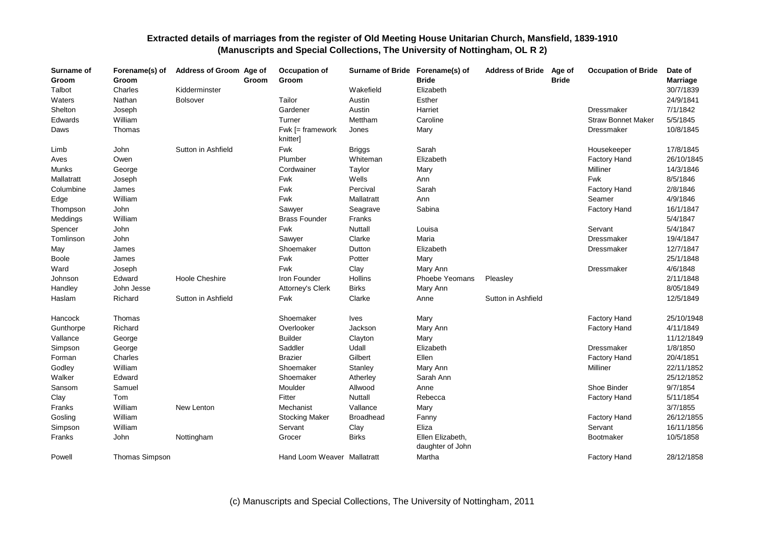| Surname of<br>Groom | Forename(s) of<br>Groom | Address of Groom Age of | Groom | Occupation of<br>Groom       | Surname of Bride Forename(s) of | <b>Bride</b>                         | <b>Address of Bride</b> | Age of<br><b>Bride</b> | <b>Occupation of Bride</b> | Date of<br><b>Marriage</b> |
|---------------------|-------------------------|-------------------------|-------|------------------------------|---------------------------------|--------------------------------------|-------------------------|------------------------|----------------------------|----------------------------|
| Talbot              | Charles                 | Kidderminster           |       |                              | Wakefield                       | Elizabeth                            |                         |                        |                            | 30/7/1839                  |
| Waters              | Nathan                  | <b>Bolsover</b>         |       | Tailor                       | Austin                          | Esther                               |                         |                        |                            | 24/9/1841                  |
| Shelton             | Joseph                  |                         |       | Gardener                     | Austin                          | Harriet                              |                         |                        | Dressmaker                 | 7/1/1842                   |
| Edwards             | William                 |                         |       | Turner                       | Mettham                         | Caroline                             |                         |                        | <b>Straw Bonnet Maker</b>  | 5/5/1845                   |
| Daws                | Thomas                  |                         |       | Fwk [= framework<br>knitter] | Jones                           | Mary                                 |                         |                        | Dressmaker                 | 10/8/1845                  |
| Limb                | John                    | Sutton in Ashfield      |       | <b>Fwk</b>                   | <b>Briggs</b>                   | Sarah                                |                         |                        | Housekeeper                | 17/8/1845                  |
| Aves                | Owen                    |                         |       | Plumber                      | Whiteman                        | Elizabeth                            |                         |                        | <b>Factory Hand</b>        | 26/10/1845                 |
| Munks               | George                  |                         |       | Cordwainer                   | Taylor                          | Mary                                 |                         |                        | Milliner                   | 14/3/1846                  |
| Mallatratt          | Joseph                  |                         |       | Fwk                          | Wells                           | Ann                                  |                         |                        | Fwk                        | 8/5/1846                   |
| Columbine           | James                   |                         |       | Fwk                          | Percival                        | Sarah                                |                         |                        | <b>Factory Hand</b>        | 2/8/1846                   |
| Edge                | William                 |                         |       | Fwk                          | Mallatratt                      | Ann                                  |                         |                        | Seamer                     | 4/9/1846                   |
| Thompson            | John                    |                         |       | Sawyer                       | Seagrave                        | Sabina                               |                         |                        | Factory Hand               | 16/1/1847                  |
| Meddings            | William                 |                         |       | <b>Brass Founder</b>         | Franks                          |                                      |                         |                        |                            | 5/4/1847                   |
| Spencer             | John                    |                         |       | Fwk                          | Nuttall                         | Louisa                               |                         |                        | Servant                    | 5/4/1847                   |
| Tomlinson           | John                    |                         |       | Sawyer                       | Clarke                          | Maria                                |                         |                        | Dressmaker                 | 19/4/1847                  |
| May                 | James                   |                         |       | Shoemaker                    | Dutton                          | Elizabeth                            |                         |                        | Dressmaker                 | 12/7/1847                  |
| <b>Boole</b>        | James                   |                         |       | Fwk                          | Potter                          | Mary                                 |                         |                        |                            | 25/1/1848                  |
| Ward                | Joseph                  |                         |       | <b>Fwk</b>                   | Clay                            | Mary Ann                             |                         |                        | Dressmaker                 | 4/6/1848                   |
| Johnson             | Edward                  | Hoole Cheshire          |       | Iron Founder                 | Hollins                         | Phoebe Yeomans                       | Pleasley                |                        |                            | 2/11/1848                  |
| Handley             | John Jesse              |                         |       | Attorney's Clerk             | <b>Birks</b>                    | Mary Ann                             |                         |                        |                            | 8/05/1849                  |
| Haslam              | Richard                 | Sutton in Ashfield      |       | Fwk                          | Clarke                          | Anne                                 | Sutton in Ashfield      |                        |                            | 12/5/1849                  |
| Hancock             | Thomas                  |                         |       | Shoemaker                    | <b>Ives</b>                     | Mary                                 |                         |                        | <b>Factory Hand</b>        | 25/10/1948                 |
| Gunthorpe           | Richard                 |                         |       | Overlooker                   | Jackson                         | Mary Ann                             |                         |                        | <b>Factory Hand</b>        | 4/11/1849                  |
| Vallance            | George                  |                         |       | <b>Builder</b>               | Clayton                         | Mary                                 |                         |                        |                            | 11/12/1849                 |
| Simpson             | George                  |                         |       | Saddler                      | Udall                           | Elizabeth                            |                         |                        | Dressmaker                 | 1/8/1850                   |
| Forman              | Charles                 |                         |       | <b>Brazier</b>               | Gilbert                         | Ellen                                |                         |                        | <b>Factory Hand</b>        | 20/4/1851                  |
| Godley              | William                 |                         |       | Shoemaker                    | Stanley                         | Mary Ann                             |                         |                        | Milliner                   | 22/11/1852                 |
| Walker              | Edward                  |                         |       | Shoemaker                    | Atherley                        | Sarah Ann                            |                         |                        |                            | 25/12/1852                 |
| Sansom              | Samuel                  |                         |       | Moulder                      | Allwood                         | Anne                                 |                         |                        | Shoe Binder                | 9/7/1854                   |
| Clay                | Tom                     |                         |       | Fitter                       | Nuttall                         | Rebecca                              |                         |                        | <b>Factory Hand</b>        | 5/11/1854                  |
| Franks              | William                 | New Lenton              |       | Mechanist                    | Vallance                        | Mary                                 |                         |                        |                            | 3/7/1855                   |
| Gosling             | William                 |                         |       | <b>Stocking Maker</b>        | <b>Broadhead</b>                | Fanny                                |                         |                        | <b>Factory Hand</b>        | 26/12/1855                 |
| Simpson             | William                 |                         |       | Servant                      | Clay                            | Eliza                                |                         |                        | Servant                    | 16/11/1856                 |
| Franks              | John                    | Nottingham              |       | Grocer                       | <b>Birks</b>                    | Ellen Elizabeth,<br>daughter of John |                         |                        | Bootmaker                  | 10/5/1858                  |
| Powell              | Thomas Simpson          |                         |       | Hand Loom Weaver Mallatratt  |                                 | Martha                               |                         |                        | <b>Factory Hand</b>        | 28/12/1858                 |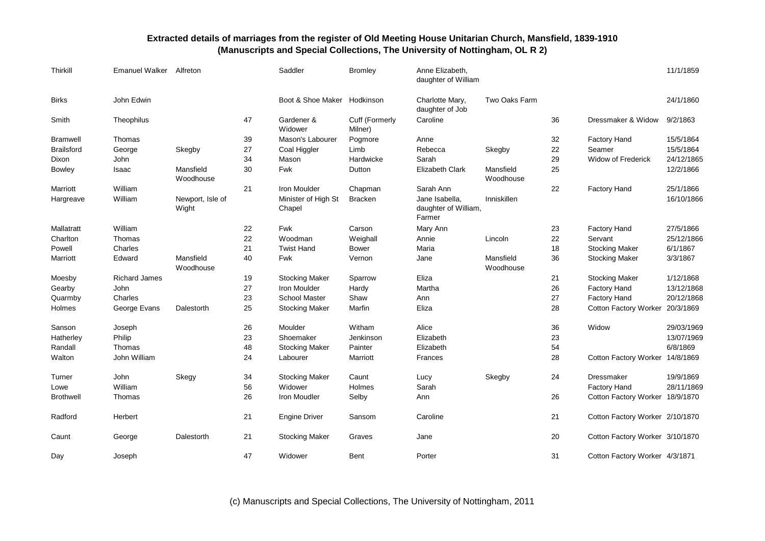| Thirkill          | Emanuel Walker       | Alfreton                  |    | Saddler                       | <b>Bromley</b>            | Anne Elizabeth,<br>daughter of William           |                        |    |                                 | 11/1/1859  |
|-------------------|----------------------|---------------------------|----|-------------------------------|---------------------------|--------------------------------------------------|------------------------|----|---------------------------------|------------|
| <b>Birks</b>      | John Edwin           |                           |    | Boot & Shoe Maker Hodkinson   |                           | Charlotte Mary,<br>daughter of Job               | Two Oaks Farm          |    |                                 | 24/1/1860  |
| Smith             | Theophilus           |                           | 47 | Gardener &<br>Widower         | Cuff (Formerly<br>Milner) | Caroline                                         |                        | 36 | Dressmaker & Widow              | 9/2/1863   |
| <b>Bramwell</b>   | Thomas               |                           | 39 | Mason's Labourer              | Pogmore                   | Anne                                             |                        | 32 | Factory Hand                    | 15/5/1864  |
| <b>Brailsford</b> | George               | Skegby                    | 27 | Coal Higgler                  | Limb                      | Rebecca                                          | Skegby                 | 22 | Seamer                          | 15/5/1864  |
| Dixon             | John                 |                           | 34 | Mason                         | Hardwicke                 | Sarah                                            |                        | 29 | <b>Widow of Frederick</b>       | 24/12/1865 |
| Bowley            | Isaac                | Mansfield<br>Woodhouse    | 30 | <b>Fwk</b>                    | Dutton                    | Elizabeth Clark                                  | Mansfield<br>Woodhouse | 25 |                                 | 12/2/1866  |
| Marriott          | William              |                           | 21 | Iron Moulder                  | Chapman                   | Sarah Ann                                        |                        | 22 | <b>Factory Hand</b>             | 25/1/1866  |
| Hargreave         | William              | Newport, Isle of<br>Wight |    | Minister of High St<br>Chapel | <b>Bracken</b>            | Jane Isabella,<br>daughter of William,<br>Farmer | Inniskillen            |    |                                 | 16/10/1866 |
| Mallatratt        | William              |                           | 22 | Fwk                           | Carson                    | Mary Ann                                         |                        | 23 | <b>Factory Hand</b>             | 27/5/1866  |
| Charlton          | Thomas               |                           | 22 | Woodman                       | Weighall                  | Annie                                            | Lincoln                | 22 | Servant                         | 25/12/1866 |
| Powell            | Charles              |                           | 21 | <b>Twist Hand</b>             | Bower                     | Maria                                            |                        | 18 | <b>Stocking Maker</b>           | 6/1/1867   |
| Marriott          | Edward               | Mansfield<br>Woodhouse    | 40 | <b>Fwk</b>                    | Vernon                    | Jane                                             | Mansfield<br>Woodhouse | 36 | <b>Stocking Maker</b>           | 3/3/1867   |
| Moesby            | <b>Richard James</b> |                           | 19 | <b>Stocking Maker</b>         | Sparrow                   | Eliza                                            |                        | 21 | <b>Stocking Maker</b>           | 1/12/1868  |
| Gearby            | John                 |                           | 27 | Iron Moulder                  | Hardy                     | Martha                                           |                        | 26 | <b>Factory Hand</b>             | 13/12/1868 |
| Quarmby           | Charles              |                           | 23 | <b>School Master</b>          | Shaw                      | Ann                                              |                        | 27 | Factory Hand                    | 20/12/1868 |
| Holmes            | George Evans         | Dalestorth                | 25 | <b>Stocking Maker</b>         | Marfin                    | Eliza                                            |                        | 28 | <b>Cotton Factory Worker</b>    | 20/3/1869  |
| Sanson            | Joseph               |                           | 26 | Moulder                       | Witham                    | Alice                                            |                        | 36 | Widow                           | 29/03/1969 |
| Hatherley         | Philip               |                           | 23 | Shoemaker                     | Jenkinson                 | Elizabeth                                        |                        | 23 |                                 | 13/07/1969 |
| Randall           | Thomas               |                           | 48 | <b>Stocking Maker</b>         | Painter                   | Elizabeth                                        |                        | 54 |                                 | 6/8/1869   |
| Walton            | John William         |                           | 24 | Labourer                      | Marriott                  | Frances                                          |                        | 28 | Cotton Factory Worker 14/8/1869 |            |
| Turner            | John                 | Skegy                     | 34 | <b>Stocking Maker</b>         | Caunt                     | Lucy                                             | Skegby                 | 24 | Dressmaker                      | 19/9/1869  |
| Lowe              | William              |                           | 56 | Widower                       | Holmes                    | Sarah                                            |                        |    | <b>Factory Hand</b>             | 28/11/1869 |
| <b>Brothwell</b>  | Thomas               |                           | 26 | Iron Moudler                  | Selby                     | Ann                                              |                        | 26 | Cotton Factory Worker 18/9/1870 |            |
| Radford           | Herbert              |                           | 21 | <b>Engine Driver</b>          | Sansom                    | Caroline                                         |                        | 21 | Cotton Factory Worker 2/10/1870 |            |
| Caunt             | George               | Dalestorth                | 21 | <b>Stocking Maker</b>         | Graves                    | Jane                                             |                        | 20 | Cotton Factory Worker 3/10/1870 |            |
| Day               | Joseph               |                           | 47 | Widower                       | Bent                      | Porter                                           |                        | 31 | Cotton Factory Worker 4/3/1871  |            |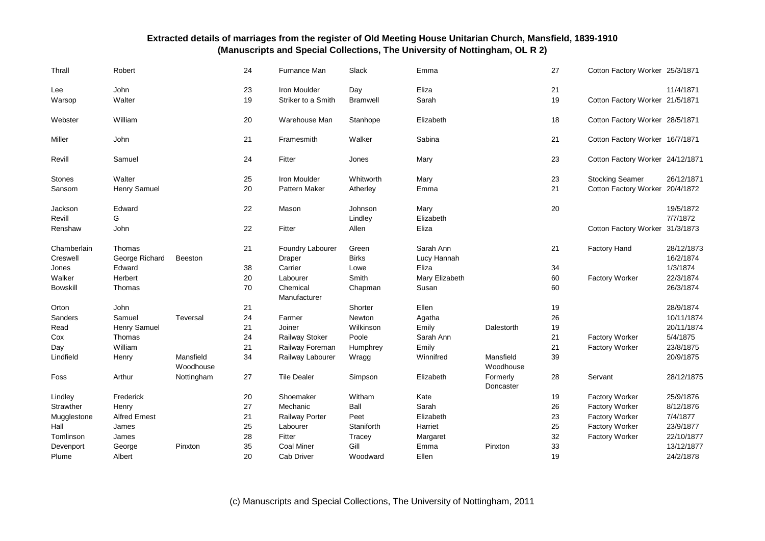| Thrall          | Robert               |                        | 24 | Furnance Man             | Slack           | Emma           |                        | 27 | Cotton Factory Worker 25/3/1871  |            |
|-----------------|----------------------|------------------------|----|--------------------------|-----------------|----------------|------------------------|----|----------------------------------|------------|
| Lee             | John                 |                        | 23 | Iron Moulder             | Day             | Eliza          |                        | 21 |                                  | 11/4/1871  |
| Warsop          | Walter               |                        | 19 | Striker to a Smith       | <b>Bramwell</b> | Sarah          |                        | 19 | Cotton Factory Worker 21/5/1871  |            |
| Webster         | William              |                        | 20 | Warehouse Man            | Stanhope        | Elizabeth      |                        | 18 | Cotton Factory Worker 28/5/1871  |            |
| Miller          | John                 |                        | 21 | Framesmith               | Walker          | Sabina         |                        | 21 | Cotton Factory Worker 16/7/1871  |            |
| Revill          | Samuel               |                        | 24 | Fitter                   | Jones           | Mary           |                        | 23 | Cotton Factory Worker 24/12/1871 |            |
| <b>Stones</b>   | Walter               |                        | 25 | Iron Moulder             | Whitworth       | Mary           |                        | 23 | <b>Stocking Seamer</b>           | 26/12/1871 |
| Sansom          | Henry Samuel         |                        | 20 | Pattern Maker            | Atherley        | Emma           |                        | 21 | Cotton Factory Worker 20/4/1872  |            |
| Jackson         | Edward               |                        | 22 | Mason                    | Johnson         | Mary           |                        | 20 |                                  | 19/5/1872  |
| Revill          | G                    |                        |    |                          | Lindley         | Elizabeth      |                        |    |                                  | 7/7/1872   |
| Renshaw         | John                 |                        | 22 | Fitter                   | Allen           | Eliza          |                        |    | Cotton Factory Worker 31/3/1873  |            |
| Chamberlain     | Thomas               |                        | 21 | Foundry Labourer         | Green           | Sarah Ann      |                        | 21 | <b>Factory Hand</b>              | 28/12/1873 |
| Creswell        | George Richard       | <b>Beeston</b>         |    | Draper                   | <b>Birks</b>    | Lucy Hannah    |                        |    |                                  | 16/2/1874  |
| Jones           | Edward               |                        | 38 | Carrier                  | Lowe            | Eliza          |                        | 34 |                                  | 1/3/1874   |
| Walker          | Herbert              |                        | 20 | Labourer                 | Smith           | Mary Elizabeth |                        | 60 | <b>Factory Worker</b>            | 22/3/1874  |
| <b>Bowskill</b> | Thomas               |                        | 70 | Chemical<br>Manufacturer | Chapman         | Susan          |                        | 60 |                                  | 26/3/1874  |
| Orton           | John                 |                        | 21 |                          | Shorter         | Ellen          |                        | 19 |                                  | 28/9/1874  |
| Sanders         | Samuel               | Teversal               | 24 | Farmer                   | Newton          | Agatha         |                        | 26 |                                  | 10/11/1874 |
| Read            | Henry Samuel         |                        | 21 | Joiner                   | Wilkinson       | Emily          | Dalestorth             | 19 |                                  | 20/11/1874 |
| Cox             | Thomas               |                        | 24 | Railway Stoker           | Poole           | Sarah Ann      |                        | 21 | <b>Factory Worker</b>            | 5/4/1875   |
| Day             | William              |                        | 21 | Railway Foreman          | Humphrey        | Emily          |                        | 21 | <b>Factory Worker</b>            | 23/8/1875  |
| Lindfield       | Henry                | Mansfield<br>Woodhouse | 34 | Railway Labourer         | Wragg           | Winnifred      | Mansfield<br>Woodhouse | 39 |                                  | 20/9/1875  |
| Foss            | Arthur               | Nottingham             | 27 | <b>Tile Dealer</b>       | Simpson         | Elizabeth      | Formerly<br>Doncaster  | 28 | Servant                          | 28/12/1875 |
| Lindley         | Frederick            |                        | 20 | Shoemaker                | Witham          | Kate           |                        | 19 | <b>Factory Worker</b>            | 25/9/1876  |
| Strawther       | Henry                |                        | 27 | Mechanic                 | Ball            | Sarah          |                        | 26 | <b>Factory Worker</b>            | 8/12/1876  |
| Mugglestone     | <b>Alfred Ernest</b> |                        | 21 | Railway Porter           | Peet            | Elizabeth      |                        | 23 | <b>Factory Worker</b>            | 7/4/1877   |
| Hall            | James                |                        | 25 | Labourer                 | Staniforth      | Harriet        |                        | 25 | <b>Factory Worker</b>            | 23/9/1877  |
| Tomlinson       | James                |                        | 28 | Fitter                   | Tracey          | Margaret       |                        | 32 | <b>Factory Worker</b>            | 22/10/1877 |
| Devenport       | George               | Pinxton                | 35 | <b>Coal Miner</b>        | Gill            | Emma           | Pinxton                | 33 |                                  | 13/12/1877 |
| Plume           | Albert               |                        | 20 | Cab Driver               | Woodward        | Ellen          |                        | 19 |                                  | 24/2/1878  |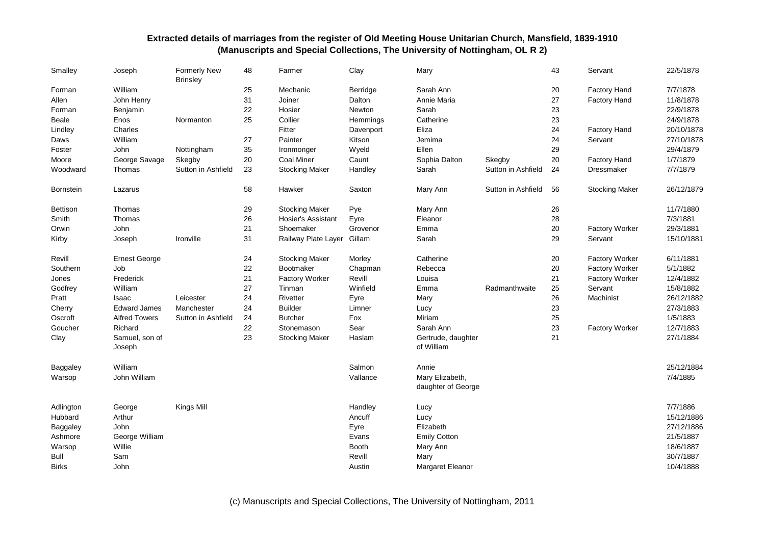| Smalley          | Joseph                   | <b>Formerly New</b><br><b>Brinsley</b> | 48 | Farmer                     | Clay         | Mary                                  |                    | 43 | Servant               | 22/5/1878  |
|------------------|--------------------------|----------------------------------------|----|----------------------------|--------------|---------------------------------------|--------------------|----|-----------------------|------------|
| Forman           | William                  |                                        | 25 | Mechanic                   | Berridge     | Sarah Ann                             |                    | 20 | <b>Factory Hand</b>   | 7/7/1878   |
| Allen            | John Henry               |                                        | 31 | Joiner                     | Dalton       | Annie Maria                           |                    | 27 | <b>Factory Hand</b>   | 11/8/1878  |
| Forman           | Benjamin                 |                                        | 22 | Hosier                     | Newton       | Sarah                                 |                    | 23 |                       | 22/9/1878  |
| Beale            | Enos                     | Normanton                              | 25 | Collier                    | Hemmings     | Catherine                             |                    | 23 |                       | 24/9/1878  |
| Lindley          | Charles                  |                                        |    | Fitter                     | Davenport    | Eliza                                 |                    | 24 | <b>Factory Hand</b>   | 20/10/1878 |
| Daws             | William                  |                                        | 27 | Painter                    | Kitson       | Jemima                                |                    | 24 | Servant               | 27/10/1878 |
| Foster           | John                     | Nottingham                             | 35 | Ironmonger                 | Wyeld        | Ellen                                 |                    | 29 |                       | 29/4/1879  |
| Moore            | George Savage            | Skegby                                 | 20 | <b>Coal Miner</b>          | Caunt        | Sophia Dalton                         | Skegby             | 20 | <b>Factory Hand</b>   | 1/7/1879   |
| Woodward         | Thomas                   | Sutton in Ashfield                     | 23 | <b>Stocking Maker</b>      | Handley      | Sarah                                 | Sutton in Ashfield | 24 | Dressmaker            | 7/7/1879   |
| <b>Bornstein</b> | Lazarus                  |                                        | 58 | Hawker                     | Saxton       | Mary Ann                              | Sutton in Ashfield | 56 | <b>Stocking Maker</b> | 26/12/1879 |
| Bettison         | Thomas                   |                                        | 29 | <b>Stocking Maker</b>      | Pye          | Mary Ann                              |                    | 26 |                       | 11/7/1880  |
| Smith            | Thomas                   |                                        | 26 | <b>Hosier's Assistant</b>  | Eyre         | Eleanor                               |                    | 28 |                       | 7/3/1881   |
| Orwin            | John                     |                                        | 21 | Shoemaker                  | Grovenor     | Emma                                  |                    | 20 | <b>Factory Worker</b> | 29/3/1881  |
| Kirby            | Joseph                   | Ironville                              | 31 | Railway Plate Layer Gillam |              | Sarah                                 |                    | 29 | Servant               | 15/10/1881 |
| Revill           | <b>Ernest George</b>     |                                        | 24 | <b>Stocking Maker</b>      | Morley       | Catherine                             |                    | 20 | <b>Factory Worker</b> | 6/11/1881  |
| Southern         | Job                      |                                        | 22 | Bootmaker                  | Chapman      | Rebecca                               |                    | 20 | <b>Factory Worker</b> | 5/1/1882   |
| Jones            | Frederick                |                                        | 21 | <b>Factory Worker</b>      | Revill       | Louisa                                |                    | 21 | <b>Factory Worker</b> | 12/4/1882  |
| Godfrey          | William                  |                                        | 27 | Tinman                     | Winfield     | Emma                                  | Radmanthwaite      | 25 | Servant               | 15/8/1882  |
| Pratt            | Isaac                    | Leicester                              | 24 | <b>Rivetter</b>            | Eyre         | Mary                                  |                    | 26 | Machinist             | 26/12/1882 |
| Cherry           | <b>Edward James</b>      | Manchester                             | 24 | <b>Builder</b>             | Limner       | Lucy                                  |                    | 23 |                       | 27/3/1883  |
| Oscroft          | <b>Alfred Towers</b>     | Sutton in Ashfield                     | 24 | <b>Butcher</b>             | Fox          | Miriam                                |                    | 25 |                       | 1/5/1883   |
| Goucher          | Richard                  |                                        | 22 | Stonemason                 | Sear         | Sarah Ann                             |                    | 23 | <b>Factory Worker</b> | 12/7/1883  |
| Clay             | Samuel, son of<br>Joseph |                                        | 23 | <b>Stocking Maker</b>      | Haslam       | Gertrude, daughter<br>of William      |                    | 21 |                       | 27/1/1884  |
| Baggaley         | William                  |                                        |    |                            | Salmon       | Annie                                 |                    |    |                       | 25/12/1884 |
| Warsop           | John William             |                                        |    |                            | Vallance     | Mary Elizabeth,<br>daughter of George |                    |    |                       | 7/4/1885   |
| Adlington        | George                   | Kings Mill                             |    |                            | Handley      | Lucy                                  |                    |    |                       | 7/7/1886   |
| Hubbard          | Arthur                   |                                        |    |                            | Ancuff       | Lucy                                  |                    |    |                       | 15/12/1886 |
| Baggaley         | <b>John</b>              |                                        |    |                            | Eyre         | Elizabeth                             |                    |    |                       | 27/12/1886 |
| Ashmore          | George William           |                                        |    |                            | Evans        | <b>Emily Cotton</b>                   |                    |    |                       | 21/5/1887  |
| Warsop           | Willie                   |                                        |    |                            | <b>Booth</b> | Mary Ann                              |                    |    |                       | 18/6/1887  |
| Bull             | Sam                      |                                        |    |                            | Revill       | Mary                                  |                    |    |                       | 30/7/1887  |
| <b>Birks</b>     | John                     |                                        |    |                            | Austin       | Margaret Eleanor                      |                    |    |                       | 10/4/1888  |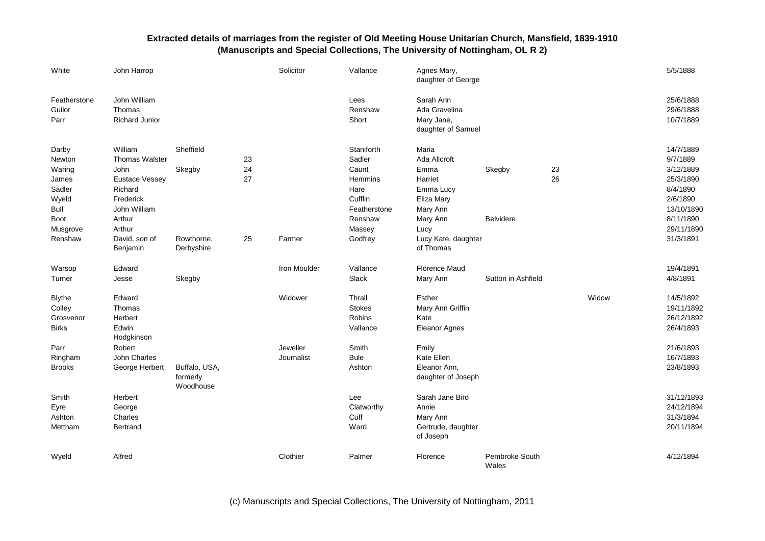| White                                                                                               | John Harrop                                                                                                                                    |                                        |                      | Solicitor              | Vallance                                                                                                    | Agnes Mary,<br>daughter of George                                                                                          |                            |          |       | 5/5/1888                                                                                                                      |
|-----------------------------------------------------------------------------------------------------|------------------------------------------------------------------------------------------------------------------------------------------------|----------------------------------------|----------------------|------------------------|-------------------------------------------------------------------------------------------------------------|----------------------------------------------------------------------------------------------------------------------------|----------------------------|----------|-------|-------------------------------------------------------------------------------------------------------------------------------|
| Featherstone<br>Guilor<br>Parr                                                                      | John William<br>Thomas<br><b>Richard Junior</b>                                                                                                |                                        |                      |                        | Lees<br>Renshaw<br>Short                                                                                    | Sarah Ann<br>Ada Gravelina<br>Mary Jane,<br>daughter of Samuel                                                             |                            |          |       | 25/6/1888<br>29/6/1888<br>10/7/1889                                                                                           |
| Darby<br>Newton<br>Waring<br>James<br>Sadler<br>Wyeld<br>Bull<br><b>Boot</b><br>Musgrove<br>Renshaw | William<br><b>Thomas Walster</b><br>John<br><b>Eustace Vessey</b><br>Richard<br>Frederick<br>John William<br>Arthur<br>Arthur<br>David, son of | Sheffield<br>Skegby<br>Rowthorne,      | 23<br>24<br>27<br>25 | Farmer                 | Staniforth<br>Sadler<br>Caunt<br>Hemmins<br>Hare<br>Cufflin<br>Featherstone<br>Renshaw<br>Massey<br>Godfrey | Maria<br>Ada Allcroft<br>Emma<br>Harriet<br>Emma Lucy<br>Eliza Mary<br>Mary Ann<br>Mary Ann<br>Lucy<br>Lucy Kate, daughter | Skegby<br><b>Belvidere</b> | 23<br>26 |       | 14/7/1889<br>9/7/1889<br>3/12/1889<br>25/3/1890<br>8/4/1890<br>2/6/1890<br>13/10/1890<br>8/11/1890<br>29/11/1890<br>31/3/1891 |
| Warsop                                                                                              | Benjamin<br>Edward                                                                                                                             | Derbyshire                             |                      | Iron Moulder           | Vallance                                                                                                    | of Thomas<br><b>Florence Maud</b>                                                                                          |                            |          |       | 19/4/1891                                                                                                                     |
| Turner<br><b>Blythe</b><br>Colley<br>Grosvenor<br><b>Birks</b>                                      | Jesse<br>Edward<br>Thomas<br>Herbert<br>Edwin<br>Hodgkinson                                                                                    | Skegby                                 |                      | Widower                | Slack<br>Thrall<br><b>Stokes</b><br>Robins<br>Vallance                                                      | Mary Ann<br>Esther<br>Mary Ann Griffin<br>Kate<br><b>Eleanor Agnes</b>                                                     | Sutton in Ashfield         |          | Widow | 4/8/1891<br>14/5/1892<br>19/11/1892<br>26/12/1892<br>26/4/1893                                                                |
| Parr<br>Ringham<br><b>Brooks</b>                                                                    | Robert<br>John Charles<br>George Herbert                                                                                                       | Buffalo, USA,<br>formerly<br>Woodhouse |                      | Jeweller<br>Journalist | Smith<br><b>Bule</b><br>Ashton                                                                              | Emily<br>Kate Ellen<br>Eleanor Ann,<br>daughter of Joseph                                                                  |                            |          |       | 21/6/1893<br>16/7/1893<br>23/8/1893                                                                                           |
| Smith<br>Eyre<br>Ashton<br>Mettham                                                                  | Herbert<br>George<br>Charles<br>Bertrand                                                                                                       |                                        |                      |                        | Lee<br>Clatworthy<br>Cuff<br>Ward                                                                           | Sarah Jane Bird<br>Annie<br>Mary Ann<br>Gertrude, daughter<br>of Joseph                                                    |                            |          |       | 31/12/1893<br>24/12/1894<br>31/3/1894<br>20/11/1894                                                                           |
| Wyeld                                                                                               | Alfred                                                                                                                                         |                                        |                      | Clothier               | Palmer                                                                                                      | Florence                                                                                                                   | Pembroke South<br>Wales    |          |       | 4/12/1894                                                                                                                     |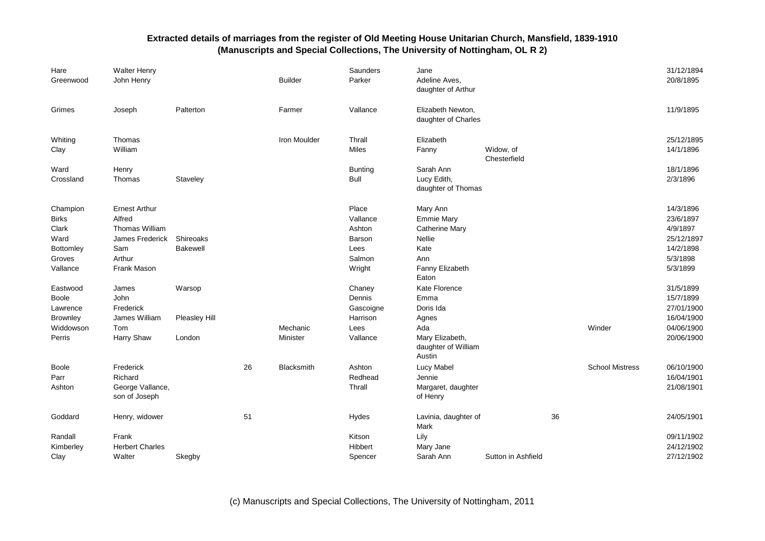| Hare<br>Greenwood                                                            | <b>Walter Henry</b><br>John Henry                                                                   |                              |    | <b>Builder</b>       | Saunders<br>Parker                                                | Jane<br>Adeline Aves,<br>daughter of Arthur                                                                 |                           |    |                        | 31/12/1894<br>20/8/1895                                                               |
|------------------------------------------------------------------------------|-----------------------------------------------------------------------------------------------------|------------------------------|----|----------------------|-------------------------------------------------------------------|-------------------------------------------------------------------------------------------------------------|---------------------------|----|------------------------|---------------------------------------------------------------------------------------|
| Grimes                                                                       | Joseph                                                                                              | Palterton                    |    | Farmer               | Vallance                                                          | Elizabeth Newton,<br>daughter of Charles                                                                    |                           |    |                        | 11/9/1895                                                                             |
| Whiting<br>Clay                                                              | Thomas<br>William                                                                                   |                              |    | Iron Moulder         | Thrall<br>Miles                                                   | Elizabeth<br>Fanny                                                                                          | Widow, of<br>Chesterfield |    |                        | 25/12/1895<br>14/1/1896                                                               |
| Ward<br>Crossland                                                            | Henry<br>Thomas                                                                                     | Staveley                     |    |                      | <b>Bunting</b><br>Bull                                            | Sarah Ann<br>Lucy Edith,<br>daughter of Thomas                                                              |                           |    |                        | 18/1/1896<br>2/3/1896                                                                 |
| Champion<br><b>Birks</b><br>Clark<br>Ward<br>Bottomley<br>Groves<br>Vallance | <b>Ernest Arthur</b><br>Alfred<br>Thomas William<br>James Frederick<br>Sam<br>Arthur<br>Frank Mason | Shireoaks<br><b>Bakewell</b> |    |                      | Place<br>Vallance<br>Ashton<br>Barson<br>Lees<br>Salmon<br>Wright | Mary Ann<br><b>Emmie Mary</b><br><b>Catherine Mary</b><br>Nellie<br>Kate<br>Ann<br>Fanny Elizabeth<br>Eaton |                           |    |                        | 14/3/1896<br>23/6/1897<br>4/9/1897<br>25/12/1897<br>14/2/1898<br>5/3/1898<br>5/3/1899 |
| Eastwood<br><b>Boole</b><br>Lawrence<br>Brownley                             | James<br>John<br>Frederick<br>James William                                                         | Warsop<br>Pleasley Hill      |    |                      | Chaney<br>Dennis<br>Gascoigne<br>Harrison                         | Kate Florence<br>Emma<br>Doris Ida<br>Agnes                                                                 |                           |    |                        | 31/5/1899<br>15/7/1899<br>27/01/1900<br>16/04/1900                                    |
| Widdowson<br>Perris                                                          | Tom<br><b>Harry Shaw</b>                                                                            | London                       |    | Mechanic<br>Minister | Lees<br>Vallance                                                  | Ada<br>Mary Elizabeth,<br>daughter of William<br>Austin                                                     |                           |    | Winder                 | 04/06/1900<br>20/06/1900                                                              |
| <b>Boole</b><br>Parr<br>Ashton                                               | Frederick<br>Richard<br>George Vallance,<br>son of Joseph                                           |                              | 26 | <b>Blacksmith</b>    | Ashton<br>Redhead<br>Thrall                                       | Lucy Mabel<br>Jennie<br>Margaret, daughter<br>of Henry                                                      |                           |    | <b>School Mistress</b> | 06/10/1900<br>16/04/1901<br>21/08/1901                                                |
| Goddard                                                                      | Henry, widower                                                                                      |                              | 51 |                      | Hydes                                                             | Lavinia, daughter of<br>Mark                                                                                |                           | 36 |                        | 24/05/1901                                                                            |
| Randall<br>Kimberley<br>Clay                                                 | Frank<br><b>Herbert Charles</b><br>Walter                                                           | Skegby                       |    |                      | Kitson<br>Hibbert<br>Spencer                                      | Lily<br>Mary Jane<br>Sarah Ann                                                                              | Sutton in Ashfield        |    |                        | 09/11/1902<br>24/12/1902<br>27/12/1902                                                |